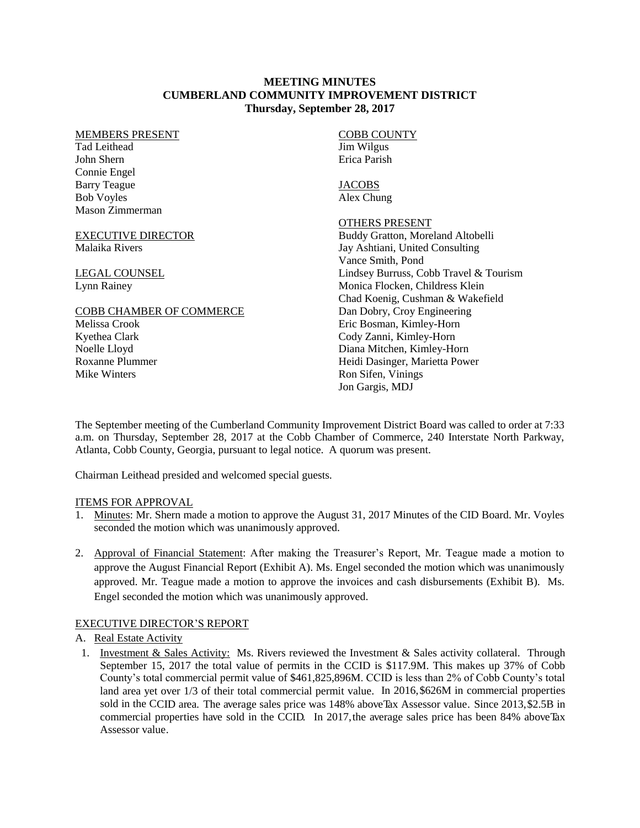#### **MEETING MINUTES CUMBERLAND COMMUNITY IMPROVEMENT DISTRICT Thursday, September 28, 2017**

#### MEMBERS PRESENT

Tad Leithead John Shern Connie Engel Barry Teague Bob Voyles Mason Zimmerman

#### EXECUTIVE DIRECTOR Malaika Rivers

LEGAL COUNSEL Lynn Rainey

#### COBB CHAMBER OF COMMERCE

Melissa Crook Kyethea Clark Noelle Lloyd Roxanne Plummer Mike Winters

#### COBB COUNTY Jim Wilgus Erica Parish

**JACOBS** Alex Chung

### OTHERS PRESENT

Buddy Gratton, Moreland Altobelli Jay Ashtiani, United Consulting Vance Smith, Pond Lindsey Burruss, Cobb Travel & Tourism Monica Flocken, Childress Klein Chad Koenig, Cushman & Wakefield Dan Dobry, Croy Engineering Eric Bosman, Kimley-Horn Cody Zanni, Kimley-Horn Diana Mitchen, Kimley-Horn Heidi Dasinger, Marietta Power Ron Sifen, Vinings Jon Gargis, MDJ

The September meeting of the Cumberland Community Improvement District Board was called to order at 7:33 a.m. on Thursday, September 28, 2017 at the Cobb Chamber of Commerce, 240 Interstate North Parkway, Atlanta, Cobb County, Georgia, pursuant to legal notice. A quorum was present.

Chairman Leithead presided and welcomed special guests.

# ITEMS FOR APPROVAL

- 1. Minutes: Mr. Shern made a motion to approve the August 31, 2017 Minutes of the CID Board. Mr. Voyles seconded the motion which was unanimously approved.
- 2. Approval of Financial Statement: After making the Treasurer's Report, Mr. Teague made a motion to approve the August Financial Report (Exhibit A). Ms. Engel seconded the motion which was unanimously approved. Mr. Teague made a motion to approve the invoices and cash disbursements (Exhibit B). Ms. Engel seconded the motion which was unanimously approved.

# EXECUTIVE DIRECTOR'S REPORT

# A. Real Estate Activity

1. Investment & Sales Activity: Ms. Rivers reviewed the Investment & Sales activity collateral. Through September 15, 2017 the total value of permits in the CCID is \$117.9M. This makes up 37% of Cobb County's total commercial permit value of \$461,825,896M. CCID is less than 2% of Cobb County's total land area yet over 1/3 of their total commercial permit value. In 2016,\$626M in commercial properties sold in the CCID area. The average sales price was 148% aboveTax Assessor value. Since 2013, \$2.5B in commercial properties have sold in the CCID. In 2017, the average sales price has been 84% above Tax Assessor value.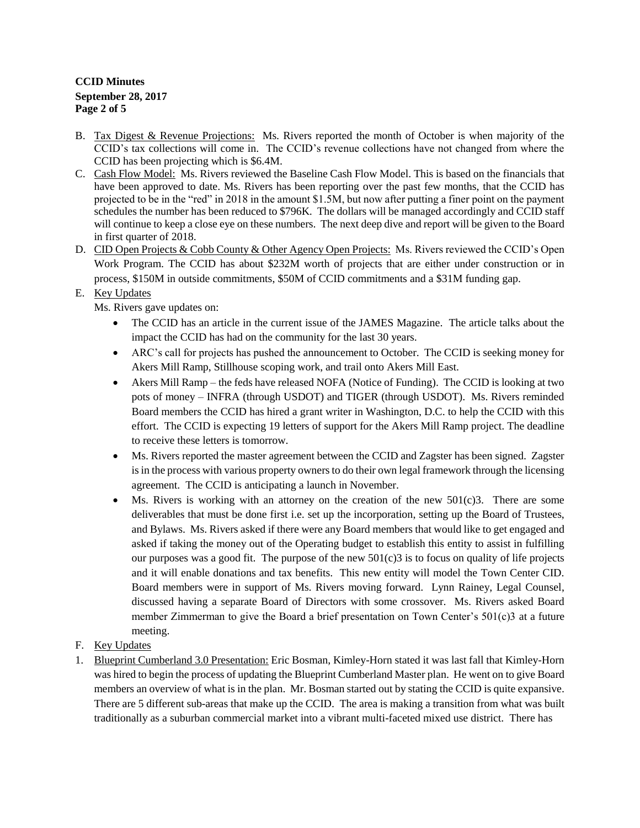# **CCID Minutes September 28, 2017 Page 2 of 5**

- B. Tax Digest & Revenue Projections: Ms. Rivers reported the month of October is when majority of the CCID's tax collections will come in. The CCID's revenue collections have not changed from where the CCID has been projecting which is \$6.4M.
- C. Cash Flow Model: Ms. Rivers reviewed the Baseline Cash Flow Model. This is based on the financials that have been approved to date. Ms. Rivers has been reporting over the past few months, that the CCID has projected to be in the "red" in 2018 in the amount \$1.5M, but now after putting a finer point on the payment schedules the number has been reduced to \$796K. The dollars will be managed accordingly and CCID staff will continue to keep a close eye on these numbers. The next deep dive and report will be given to the Board in first quarter of 2018.
- D. CID Open Projects & Cobb County & Other Agency Open Projects: Ms. Rivers reviewed the CCID's Open Work Program. The CCID has about \$232M worth of projects that are either under construction or in process, \$150M in outside commitments, \$50M of CCID commitments and a \$31M funding gap.

# E. Key Updates

Ms. Rivers gave updates on:

- The CCID has an article in the current issue of the JAMES Magazine. The article talks about the impact the CCID has had on the community for the last 30 years.
- ARC's call for projects has pushed the announcement to October. The CCID is seeking money for Akers Mill Ramp, Stillhouse scoping work, and trail onto Akers Mill East.
- Akers Mill Ramp the feds have released NOFA (Notice of Funding). The CCID is looking at two pots of money – INFRA (through USDOT) and TIGER (through USDOT). Ms. Rivers reminded Board members the CCID has hired a grant writer in Washington, D.C. to help the CCID with this effort. The CCID is expecting 19 letters of support for the Akers Mill Ramp project. The deadline to receive these letters is tomorrow.
- Ms. Rivers reported the master agreement between the CCID and Zagster has been signed. Zagster is in the process with various property owners to do their own legal framework through the licensing agreement. The CCID is anticipating a launch in November.
- $\bullet$  Ms. Rivers is working with an attorney on the creation of the new 501(c)3. There are some deliverables that must be done first i.e. set up the incorporation, setting up the Board of Trustees, and Bylaws. Ms. Rivers asked if there were any Board members that would like to get engaged and asked if taking the money out of the Operating budget to establish this entity to assist in fulfilling our purposes was a good fit. The purpose of the new  $501(c)3$  is to focus on quality of life projects and it will enable donations and tax benefits. This new entity will model the Town Center CID. Board members were in support of Ms. Rivers moving forward. Lynn Rainey, Legal Counsel, discussed having a separate Board of Directors with some crossover. Ms. Rivers asked Board member Zimmerman to give the Board a brief presentation on Town Center's 501(c)3 at a future meeting.
- F. Key Updates
- 1. Blueprint Cumberland 3.0 Presentation: Eric Bosman, Kimley-Horn stated it was last fall that Kimley-Horn was hired to begin the process of updating the Blueprint Cumberland Master plan. He went on to give Board members an overview of what is in the plan. Mr. Bosman started out by stating the CCID is quite expansive. There are 5 different sub-areas that make up the CCID. The area is making a transition from what was built traditionally as a suburban commercial market into a vibrant multi-faceted mixed use district. There has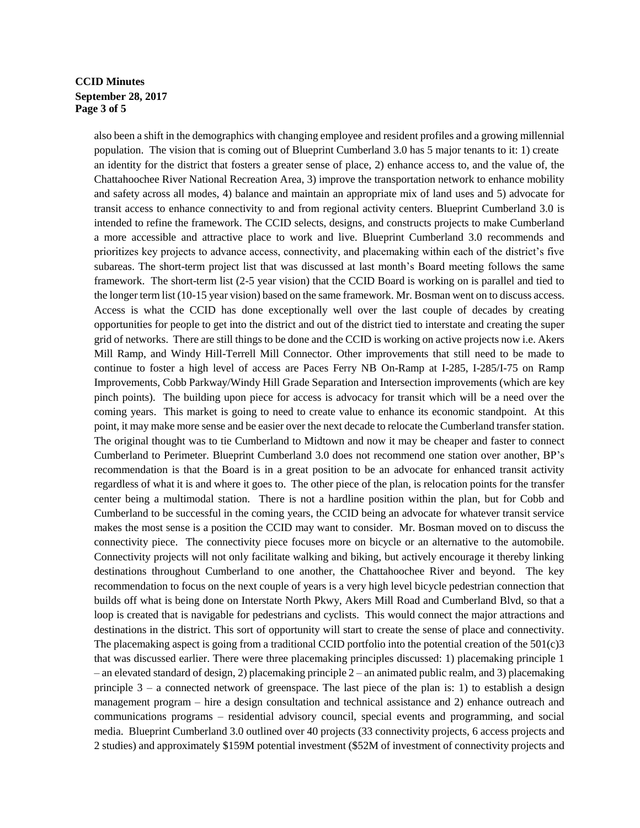# **CCID Minutes September 28, 2017 Page 3 of 5**

also been a shift in the demographics with changing employee and resident profiles and a growing millennial population. The vision that is coming out of Blueprint Cumberland 3.0 has 5 major tenants to it: 1) create an identity for the district that fosters a greater sense of place, 2) enhance access to, and the value of, the Chattahoochee River National Recreation Area, 3) improve the transportation network to enhance mobility and safety across all modes, 4) balance and maintain an appropriate mix of land uses and 5) advocate for transit access to enhance connectivity to and from regional activity centers. Blueprint Cumberland 3.0 is intended to refine the framework. The CCID selects, designs, and constructs projects to make Cumberland a more accessible and attractive place to work and live. Blueprint Cumberland 3.0 recommends and prioritizes key projects to advance access, connectivity, and placemaking within each of the district's five subareas. The short-term project list that was discussed at last month's Board meeting follows the same framework. The short-term list (2-5 year vision) that the CCID Board is working on is parallel and tied to the longer term list (10-15 year vision) based on the same framework. Mr. Bosman went on to discuss access. Access is what the CCID has done exceptionally well over the last couple of decades by creating opportunities for people to get into the district and out of the district tied to interstate and creating the super grid of networks. There are still things to be done and the CCID is working on active projects now i.e. Akers Mill Ramp, and Windy Hill-Terrell Mill Connector. Other improvements that still need to be made to continue to foster a high level of access are Paces Ferry NB On-Ramp at I-285, I-285/I-75 on Ramp Improvements, Cobb Parkway/Windy Hill Grade Separation and Intersection improvements (which are key pinch points). The building upon piece for access is advocacy for transit which will be a need over the coming years. This market is going to need to create value to enhance its economic standpoint. At this point, it may make more sense and be easier over the next decade to relocate the Cumberland transfer station. The original thought was to tie Cumberland to Midtown and now it may be cheaper and faster to connect Cumberland to Perimeter. Blueprint Cumberland 3.0 does not recommend one station over another, BP's recommendation is that the Board is in a great position to be an advocate for enhanced transit activity regardless of what it is and where it goes to. The other piece of the plan, is relocation points for the transfer center being a multimodal station. There is not a hardline position within the plan, but for Cobb and Cumberland to be successful in the coming years, the CCID being an advocate for whatever transit service makes the most sense is a position the CCID may want to consider. Mr. Bosman moved on to discuss the connectivity piece. The connectivity piece focuses more on bicycle or an alternative to the automobile. Connectivity projects will not only facilitate walking and biking, but actively encourage it thereby linking destinations throughout Cumberland to one another, the Chattahoochee River and beyond. The key recommendation to focus on the next couple of years is a very high level bicycle pedestrian connection that builds off what is being done on Interstate North Pkwy, Akers Mill Road and Cumberland Blvd, so that a loop is created that is navigable for pedestrians and cyclists. This would connect the major attractions and destinations in the district. This sort of opportunity will start to create the sense of place and connectivity. The placemaking aspect is going from a traditional CCID portfolio into the potential creation of the  $501(c)3$ that was discussed earlier. There were three placemaking principles discussed: 1) placemaking principle 1 – an elevated standard of design, 2) placemaking principle 2 – an animated public realm, and 3) placemaking principle  $3 - a$  connected network of greenspace. The last piece of the plan is: 1) to establish a design management program – hire a design consultation and technical assistance and 2) enhance outreach and communications programs – residential advisory council, special events and programming, and social media. Blueprint Cumberland 3.0 outlined over 40 projects (33 connectivity projects, 6 access projects and 2 studies) and approximately \$159M potential investment (\$52M of investment of connectivity projects and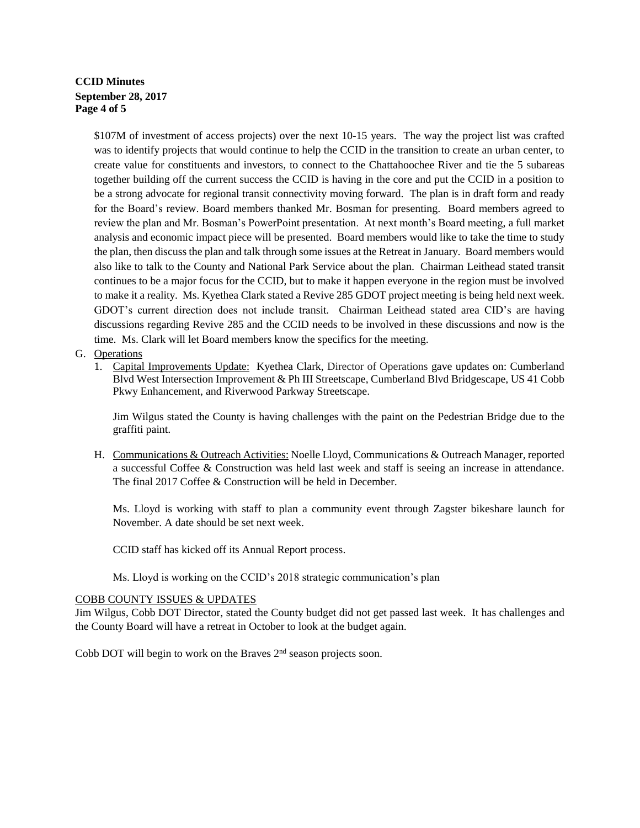# **CCID Minutes September 28, 2017 Page 4 of 5**

\$107M of investment of access projects) over the next 10-15 years. The way the project list was crafted was to identify projects that would continue to help the CCID in the transition to create an urban center, to create value for constituents and investors, to connect to the Chattahoochee River and tie the 5 subareas together building off the current success the CCID is having in the core and put the CCID in a position to be a strong advocate for regional transit connectivity moving forward. The plan is in draft form and ready for the Board's review. Board members thanked Mr. Bosman for presenting. Board members agreed to review the plan and Mr. Bosman's PowerPoint presentation. At next month's Board meeting, a full market analysis and economic impact piece will be presented. Board members would like to take the time to study the plan, then discuss the plan and talk through some issues at the Retreat in January. Board members would also like to talk to the County and National Park Service about the plan. Chairman Leithead stated transit continues to be a major focus for the CCID, but to make it happen everyone in the region must be involved to make it a reality. Ms. Kyethea Clark stated a Revive 285 GDOT project meeting is being held next week. GDOT's current direction does not include transit. Chairman Leithead stated area CID's are having discussions regarding Revive 285 and the CCID needs to be involved in these discussions and now is the time. Ms. Clark will let Board members know the specifics for the meeting.

### G. Operations

1. Capital Improvements Update: Kyethea Clark, Director of Operations gave updates on: Cumberland Blvd West Intersection Improvement & Ph III Streetscape, Cumberland Blvd Bridgescape, US 41 Cobb Pkwy Enhancement, and Riverwood Parkway Streetscape.

Jim Wilgus stated the County is having challenges with the paint on the Pedestrian Bridge due to the graffiti paint.

H. Communications & Outreach Activities: Noelle Lloyd, Communications & Outreach Manager, reported a successful Coffee & Construction was held last week and staff is seeing an increase in attendance. The final 2017 Coffee & Construction will be held in December.

Ms. Lloyd is working with staff to plan a community event through Zagster bikeshare launch for November. A date should be set next week.

CCID staff has kicked off its Annual Report process.

Ms. Lloyd is working on the CCID's 2018 strategic communication's plan

#### COBB COUNTY ISSUES & UPDATES

Jim Wilgus, Cobb DOT Director, stated the County budget did not get passed last week. It has challenges and the County Board will have a retreat in October to look at the budget again.

Cobb DOT will begin to work on the Braves  $2<sup>nd</sup>$  season projects soon.